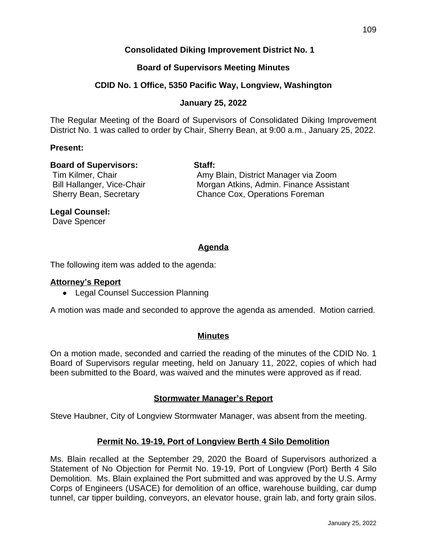# **Consolidated Diking Improvement District No. 1**

### **Board of Supervisors Meeting Minutes**

### **CDID No. 1 Office, 5350 Pacific Way, Longview, Washington**

### **January 25, 2022**

The Regular Meeting of the Board of Supervisors of Consolidated Diking Improvement District No. 1 was called to order by Chair, Sherry Bean, at 9:00 a.m., January 25, 2022.

#### **Present:**

### **Board of Supervisors: Staff:**

Tim Kilmer, Chair Amy Blain, District Manager via Zoom Bill Hallanger, Vice-Chair **Morgan Atkins, Admin. Finance Assistant** Sherry Bean, Secretary **Chance Cox, Operations Foreman** 

#### **Legal Counsel:**

Dave Spencer

# **Agenda**

The following item was added to the agenda:

#### **Attorney's Report**

• Legal Counsel Succession Planning

A motion was made and seconded to approve the agenda as amended. Motion carried.

#### **Minutes**

On a motion made, seconded and carried the reading of the minutes of the CDID No. 1 Board of Supervisors regular meeting, held on January 11, 2022, copies of which had been submitted to the Board, was waived and the minutes were approved as if read.

#### **Stormwater Manager's Report**

Steve Haubner, City of Longview Stormwater Manager, was absent from the meeting.

#### **Permit No. 19-19, Port of Longview Berth 4 Silo Demolition**

Ms. Blain recalled at the September 29, 2020 the Board of Supervisors authorized a Statement of No Objection for Permit No. 19-19, Port of Longview (Port) Berth 4 Silo Demolition. Ms. Blain explained the Port submitted and was approved by the U.S. Army Corps of Engineers (USACE) for demolition of an office, warehouse building, car dump tunnel, car tipper building, conveyors, an elevator house, grain lab, and forty grain silos.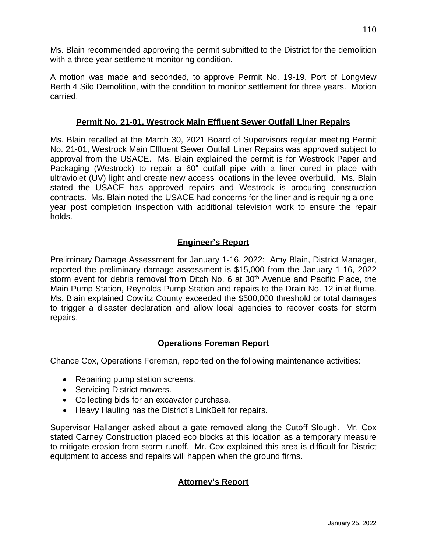Ms. Blain recommended approving the permit submitted to the District for the demolition with a three year settlement monitoring condition.

A motion was made and seconded, to approve Permit No. 19-19, Port of Longview Berth 4 Silo Demolition, with the condition to monitor settlement for three years. Motion carried.

# **Permit No. 21-01, Westrock Main Effluent Sewer Outfall Liner Repairs**

Ms. Blain recalled at the March 30, 2021 Board of Supervisors regular meeting Permit No. 21-01, Westrock Main Effluent Sewer Outfall Liner Repairs was approved subject to approval from the USACE. Ms. Blain explained the permit is for Westrock Paper and Packaging (Westrock) to repair a 60" outfall pipe with a liner cured in place with ultraviolet (UV) light and create new access locations in the levee overbuild. Ms. Blain stated the USACE has approved repairs and Westrock is procuring construction contracts. Ms. Blain noted the USACE had concerns for the liner and is requiring a oneyear post completion inspection with additional television work to ensure the repair holds.

# **Engineer's Report**

Preliminary Damage Assessment for January 1-16, 2022: Amy Blain, District Manager, reported the preliminary damage assessment is \$15,000 from the January 1-16, 2022 storm event for debris removal from Ditch No. 6 at 30<sup>th</sup> Avenue and Pacific Place, the Main Pump Station, Reynolds Pump Station and repairs to the Drain No. 12 inlet flume. Ms. Blain explained Cowlitz County exceeded the \$500,000 threshold or total damages to trigger a disaster declaration and allow local agencies to recover costs for storm repairs.

# **Operations Foreman Report**

Chance Cox, Operations Foreman, reported on the following maintenance activities:

- Repairing pump station screens.
- Servicing District mowers.
- Collecting bids for an excavator purchase.
- Heavy Hauling has the District's LinkBelt for repairs.

Supervisor Hallanger asked about a gate removed along the Cutoff Slough. Mr. Cox stated Carney Construction placed eco blocks at this location as a temporary measure to mitigate erosion from storm runoff. Mr. Cox explained this area is difficult for District equipment to access and repairs will happen when the ground firms.

# **Attorney's Report**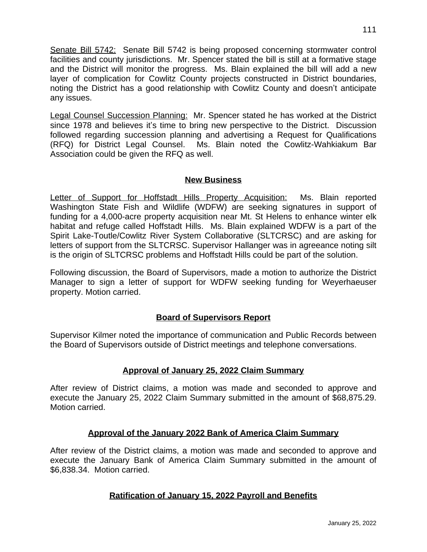Senate Bill 5742: Senate Bill 5742 is being proposed concerning stormwater control facilities and county jurisdictions. Mr. Spencer stated the bill is still at a formative stage and the District will monitor the progress. Ms. Blain explained the bill will add a new layer of complication for Cowlitz County projects constructed in District boundaries, noting the District has a good relationship with Cowlitz County and doesn't anticipate any issues.

Legal Counsel Succession Planning: Mr. Spencer stated he has worked at the District since 1978 and believes it's time to bring new perspective to the District. Discussion followed regarding succession planning and advertising a Request for Qualifications (RFQ) for District Legal Counsel. Ms. Blain noted the Cowlitz-Wahkiakum Bar Association could be given the RFQ as well.

# **New Business**

Letter of Support for Hoffstadt Hills Property Acquisition: Ms. Blain reported Washington State Fish and Wildlife (WDFW) are seeking signatures in support of funding for a 4,000-acre property acquisition near Mt. St Helens to enhance winter elk habitat and refuge called Hoffstadt Hills. Ms. Blain explained WDFW is a part of the Spirit Lake-Toutle/Cowlitz River System Collaborative (SLTCRSC) and are asking for letters of support from the SLTCRSC. Supervisor Hallanger was in agreeance noting silt is the origin of SLTCRSC problems and Hoffstadt Hills could be part of the solution.

Following discussion, the Board of Supervisors, made a motion to authorize the District Manager to sign a letter of support for WDFW seeking funding for Weyerhaeuser property. Motion carried.

# **Board of Supervisors Report**

Supervisor Kilmer noted the importance of communication and Public Records between the Board of Supervisors outside of District meetings and telephone conversations.

# **Approval of January 25, 2022 Claim Summary**

After review of District claims, a motion was made and seconded to approve and execute the January 25, 2022 Claim Summary submitted in the amount of \$68,875.29. Motion carried.

# **Approval of the January 2022 Bank of America Claim Summary**

After review of the District claims, a motion was made and seconded to approve and execute the January Bank of America Claim Summary submitted in the amount of \$6,838.34. Motion carried.

# **Ratification of January 15, 2022 Payroll and Benefits**